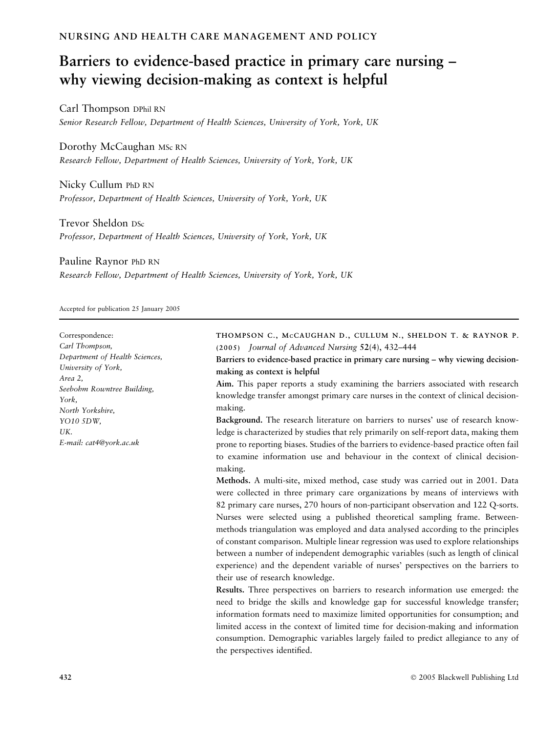# NURSING AND HEALTH CARE MANAGEMENT AND POLICY

# Barriers to evidence-based practice in primary care nursing – why viewing decision-making as context is helpful

Carl Thompson DPhil RN Senior Research Fellow, Department of Health Sciences, University of York, York, UK

Dorothy McCaughan MSc RN Research Fellow, Department of Health Sciences, University of York, York, UK

Nicky Cullum PhD RN Professor, Department of Health Sciences, University of York, York, UK

Trevor Sheldon DSc Professor, Department of Health Sciences, University of York, York, UK

Pauline Raynor PhD RN

Research Fellow, Department of Health Sciences, University of York, York, UK

Accepted for publication 25 January 2005

Correspondence: Carl Thompson, Department of Health Sciences, University of York, Area 2, Seebohm Rowntree Building, York, North Yorkshire, YO10 5DW, **IIK** E-mail: cat4@york.ac.uk THOMPSON C., MCCAUGHAN D., CULLUM N., SHELDON T. & RAYNOR P. (2005) Journal of Advanced Nursing 52(4), 432–444 Barriers to evidence-based practice in primary care nursing – why viewing decisionmaking as context is helpful Aim. This paper reports a study examining the barriers associated with research knowledge transfer amongst primary care nurses in the context of clinical decisionmaking. Background. The research literature on barriers to nurses' use of research knowledge is characterized by studies that rely primarily on self-report data, making them prone to reporting biases. Studies of the barriers to evidence-based practice often fail to examine information use and behaviour in the context of clinical decisionmaking. Methods. A multi-site, mixed method, case study was carried out in 2001. Data were collected in three primary care organizations by means of interviews with 82 primary care nurses, 270 hours of non-participant observation and 122 Q-sorts. Nurses were selected using a published theoretical sampling frame. Betweenmethods triangulation was employed and data analysed according to the principles of constant comparison. Multiple linear regression was used to explore relationships between a number of independent demographic variables (such as length of clinical experience) and the dependent variable of nurses' perspectives on the barriers to their use of research knowledge. Results. Three perspectives on barriers to research information use emerged: the need to bridge the skills and knowledge gap for successful knowledge transfer; information formats need to maximize limited opportunities for consumption; and limited access in the context of limited time for decision-making and information consumption. Demographic variables largely failed to predict allegiance to any of the perspectives identified.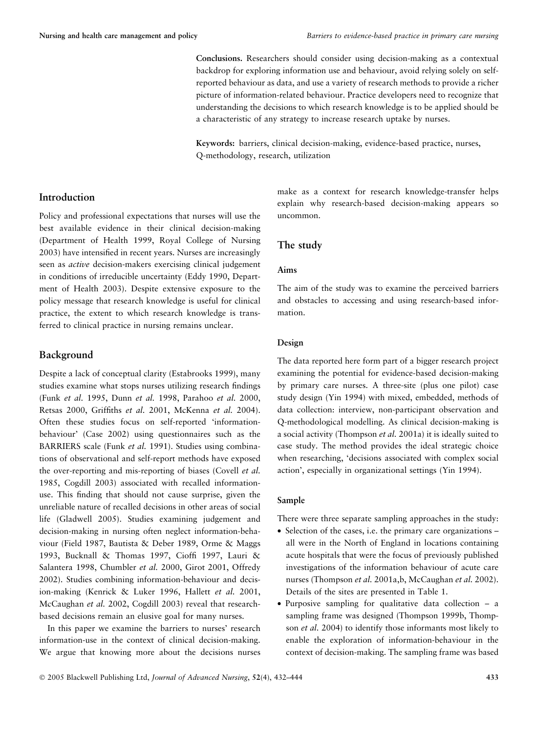Conclusions. Researchers should consider using decision-making as a contextual backdrop for exploring information use and behaviour, avoid relying solely on selfreported behaviour as data, and use a variety of research methods to provide a richer picture of information-related behaviour. Practice developers need to recognize that understanding the decisions to which research knowledge is to be applied should be a characteristic of any strategy to increase research uptake by nurses.

Keywords: barriers, clinical decision-making, evidence-based practice, nurses, Q-methodology, research, utilization

## Introduction

Policy and professional expectations that nurses will use the best available evidence in their clinical decision-making (Department of Health 1999, Royal College of Nursing 2003) have intensified in recent years. Nurses are increasingly seen as active decision-makers exercising clinical judgement in conditions of irreducible uncertainty (Eddy 1990, Department of Health 2003). Despite extensive exposure to the policy message that research knowledge is useful for clinical practice, the extent to which research knowledge is transferred to clinical practice in nursing remains unclear.

## Background

Despite a lack of conceptual clarity (Estabrooks 1999), many studies examine what stops nurses utilizing research findings (Funk et al. 1995, Dunn et al. 1998, Parahoo et al. 2000, Retsas 2000, Griffiths et al. 2001, McKenna et al. 2004). Often these studies focus on self-reported 'informationbehaviour' (Case 2002) using questionnaires such as the BARRIERS scale (Funk et al. 1991). Studies using combinations of observational and self-report methods have exposed the over-reporting and mis-reporting of biases (Covell et al. 1985, Cogdill 2003) associated with recalled informationuse. This finding that should not cause surprise, given the unreliable nature of recalled decisions in other areas of social life (Gladwell 2005). Studies examining judgement and decision-making in nursing often neglect information-behaviour (Field 1987, Bautista & Deber 1989, Orme & Maggs 1993, Bucknall & Thomas 1997, Cioffi 1997, Lauri & Salantera 1998, Chumbler et al. 2000, Girot 2001, Offredy 2002). Studies combining information-behaviour and decision-making (Kenrick & Luker 1996, Hallett et al. 2001, McCaughan et al. 2002, Cogdill 2003) reveal that researchbased decisions remain an elusive goal for many nurses.

In this paper we examine the barriers to nurses' research information-use in the context of clinical decision-making. We argue that knowing more about the decisions nurses make as a context for research knowledge-transfer helps explain why research-based decision-making appears so uncommon.

## The study

## Aims

The aim of the study was to examine the perceived barriers and obstacles to accessing and using research-based information.

## Design

The data reported here form part of a bigger research project examining the potential for evidence-based decision-making by primary care nurses. A three-site (plus one pilot) case study design (Yin 1994) with mixed, embedded, methods of data collection: interview, non-participant observation and Q-methodological modelling. As clinical decision-making is a social activity (Thompson et al. 2001a) it is ideally suited to case study. The method provides the ideal strategic choice when researching, 'decisions associated with complex social action', especially in organizational settings (Yin 1994).

#### Sample

There were three separate sampling approaches in the study:

- Selection of the cases, i.e. the primary care organizations all were in the North of England in locations containing acute hospitals that were the focus of previously published investigations of the information behaviour of acute care nurses (Thompson et al. 2001a,b, McCaughan et al. 2002). Details of the sites are presented in Table 1.
- Purposive sampling for qualitative data collection a sampling frame was designed (Thompson 1999b, Thompson et al. 2004) to identify those informants most likely to enable the exploration of information-behaviour in the context of decision-making. The sampling frame was based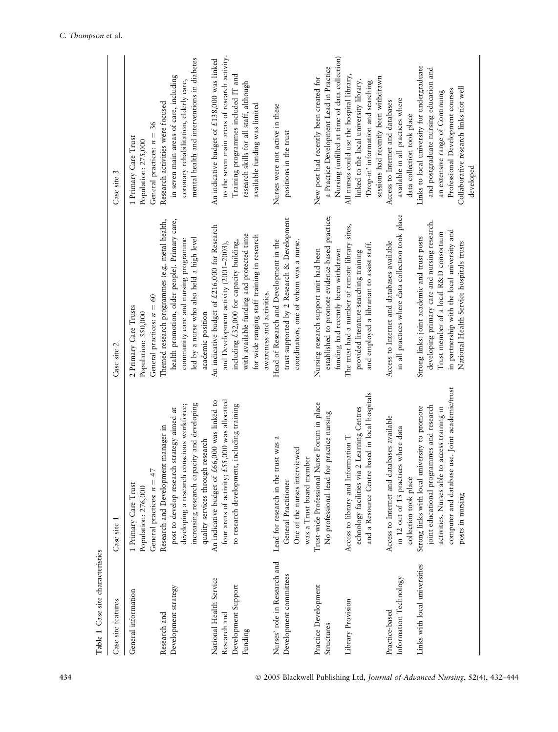| Table 1 Case site characteristics                                         |                                                                                                                                                                                                                          |                                                                                                                                                                                                                                                             |                                                                                                                                                                                                                     |
|---------------------------------------------------------------------------|--------------------------------------------------------------------------------------------------------------------------------------------------------------------------------------------------------------------------|-------------------------------------------------------------------------------------------------------------------------------------------------------------------------------------------------------------------------------------------------------------|---------------------------------------------------------------------------------------------------------------------------------------------------------------------------------------------------------------------|
| Case site features                                                        | Case site 1                                                                                                                                                                                                              | Case site 2                                                                                                                                                                                                                                                 | Case site 3                                                                                                                                                                                                         |
| General information                                                       | General practices: $n = 47$<br>1 Primary Care Trust<br>Population: 276,000                                                                                                                                               | General practices: $n = 60$<br>2 Primary Care Trusts<br>Population: 550,000                                                                                                                                                                                 | General practices: $n = 36$<br>1 Primary Care Trust<br>Population: 275,000                                                                                                                                          |
| Development strategy<br>Research and                                      | increasing research capacity and developing<br>developing a research conscious workforce;<br>strategy aimed at<br>Research and Development manager in<br>quality services through research<br>post to develop research   | health promotion, older people). Primary care,<br>Themed research programmes (e.g. metal health,<br>community care and nursing programme<br>led by a nurse who also held a high level<br>academic position                                                  | mental health and interventions in diabetes<br>in seven main areas of care, including<br>coronary rehabilitation, elderly care,<br>Research activities were focused                                                 |
| National Health Service<br>Development Support<br>Research and<br>Funding | four areas of activity; £55,000 was allocated<br>An indicative budget of £66,000 was linked to<br>to research development, including training                                                                            | An indicative budget of £216,000 for Research<br>with available funding and protected time<br>for wide ranging staff training in research<br>including £32,000 for capacity building,<br>and Development activity (2001-2003),<br>awareness and activities. | to the seven main areas of research activity.<br>An indicative budget of £138,000 was linked<br>Training programmes included IT and<br>research skills for all staff, although<br>available funding was limited     |
| Nurses' role in Research and<br>Development committees                    | Lead for research in the trust was a<br>One of the nurses interviewed<br>was a Trust board member<br>General Practitioner                                                                                                | trust supported by 2 Research & Development<br>Head of Research and Development in the<br>coordinators, one of whom was a nurse.                                                                                                                            | Nurses were not active in these<br>positions in the trust                                                                                                                                                           |
| Practice Development<br>Structures                                        | Trust-wide Professional Nurse Forum in place<br>practice nursing<br>No professional lead for                                                                                                                             | established to promote evidence-based practice;<br>Nursing research support unit had been<br>funding had recently been withdrawn                                                                                                                            | Nursing (unfilled at time of data collection)<br>a Practice Development Lead in Practice<br>New post had recently been created for                                                                                  |
| Library Provision                                                         | and a Resource Centre based in local hospitals<br>echnology facilities via 2 Learning Centres<br>Access to library and Information T                                                                                     | The trust had a number of remote library sites,<br>and employed a librarian to assist staff.<br>provided literature-searching training                                                                                                                      | All nurses could use the hospital library,<br>linked to the local university library.<br>'Drop-in' information and searching                                                                                        |
| Information Technology<br>Practice-based                                  | Access to Internet and databases available<br>in 12 out of 13 practices where data<br>collection took place                                                                                                              | in all practices where data collection took place<br>Access to Internet and databases available                                                                                                                                                             | sessions had recently been withdrawn<br>available in all practices where<br>Access to Internet and databases<br>data collection took place                                                                          |
| Links with local universities                                             | use. Joint academic/trust<br>joint educational programmes and research<br>Strong links with local university to promote<br>access training in<br>activities. Nurses able to<br>computer and database<br>posts in nursing | developing primary care and nursing research.<br>in partnership with the local university and<br>Trust member of a local R&D consortium<br>Strong links: joint academic and trust posts<br>National Health Service hospitals trusts                         | Links to local university for undergraduate<br>and postgraduate nursing education and<br>Collaborative research links not well<br>Professional Development courses<br>an extensive range of Continuing<br>developed |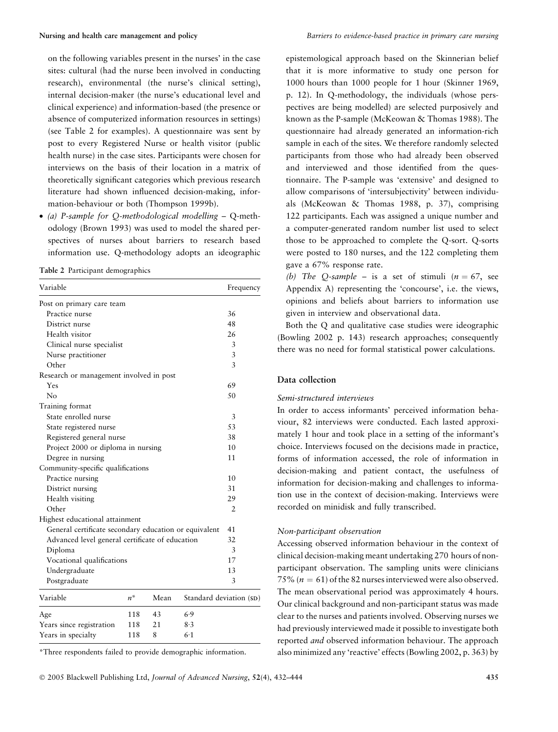on the following variables present in the nurses' in the case sites: cultural (had the nurse been involved in conducting research), environmental (the nurse's clinical setting), internal decision-maker (the nurse's educational level and clinical experience) and information-based (the presence or absence of computerized information resources in settings) (see Table 2 for examples). A questionnaire was sent by post to every Registered Nurse or health visitor (public health nurse) in the case sites. Participants were chosen for interviews on the basis of their location in a matrix of theoretically significant categories which previous research literature had shown influenced decision-making, information-behaviour or both (Thompson 1999b).

• (a) P-sample for Q-methodological modelling – Q-methodology (Brown 1993) was used to model the shared perspectives of nurses about barriers to research based information use. Q-methodology adopts an ideographic

Table 2 Participant demographics

| Variable                                              |       |      |                         | Frequency      |
|-------------------------------------------------------|-------|------|-------------------------|----------------|
| Post on primary care team                             |       |      |                         |                |
| Practice nurse                                        |       |      |                         | 36             |
| District nurse                                        |       |      |                         | 48             |
| Health visitor                                        |       |      |                         | 26             |
| Clinical nurse specialist                             |       |      |                         | 3              |
| Nurse practitioner                                    |       |      |                         | 3              |
| Other                                                 |       |      |                         | 3              |
| Research or management involved in post               |       |      |                         |                |
| Yes                                                   |       |      |                         | 69             |
| $\rm No$                                              |       |      |                         | 50             |
| Training format                                       |       |      |                         |                |
| State enrolled nurse                                  |       |      |                         | 3              |
| State registered nurse                                |       |      |                         | 53             |
| Registered general nurse                              |       |      |                         | 38             |
| Project 2000 or diploma in nursing                    |       |      |                         | 10             |
| Degree in nursing                                     |       |      |                         | 11             |
| Community-specific qualifications                     |       |      |                         |                |
| Practice nursing                                      |       |      |                         | 10             |
| District nursing                                      |       |      |                         | 31             |
| Health visiting                                       |       |      |                         | 29             |
| Other                                                 |       |      |                         | $\overline{2}$ |
| Highest educational attainment                        |       |      |                         |                |
| General certificate secondary education or equivalent |       |      |                         | 41             |
| Advanced level general certificate of education       |       |      |                         | 32             |
| Diploma                                               |       |      |                         | 3              |
| Vocational qualifications                             |       |      |                         | 17             |
| Undergraduate                                         |       |      |                         | 13             |
| Postgraduate                                          |       |      |                         | 3              |
| Variable                                              | $n^*$ | Mean | Standard deviation (SD) |                |
| Age                                                   | 118   | 43   | 6.9                     |                |
| Years since registration                              | 118   | 21   | 8.3                     |                |
| Years in specialty                                    | 118   | 8    | 6.1                     |                |

\*Three respondents failed to provide demographic information.

epistemological approach based on the Skinnerian belief that it is more informative to study one person for 1000 hours than 1000 people for 1 hour (Skinner 1969, p. 12). In Q-methodology, the individuals (whose perspectives are being modelled) are selected purposively and known as the P-sample (McKeowan & Thomas 1988). The questionnaire had already generated an information-rich sample in each of the sites. We therefore randomly selected participants from those who had already been observed and interviewed and those identified from the questionnaire. The P-sample was 'extensive' and designed to allow comparisons of 'intersubjectivity' between individuals (McKeowan & Thomas 1988, p. 37), comprising 122 participants. Each was assigned a unique number and a computer-generated random number list used to select those to be approached to complete the Q-sort. Q-sorts were posted to 180 nurses, and the 122 completing them gave a 67% response rate.

(b) The Q-sample – is a set of stimuli ( $n = 67$ , see Appendix A) representing the 'concourse', i.e. the views, opinions and beliefs about barriers to information use given in interview and observational data.

Both the Q and qualitative case studies were ideographic (Bowling 2002 p. 143) research approaches; consequently there was no need for formal statistical power calculations.

## Data collection

## Semi-structured interviews

In order to access informants' perceived information behaviour, 82 interviews were conducted. Each lasted approximately 1 hour and took place in a setting of the informant's choice. Interviews focused on the decisions made in practice, forms of information accessed, the role of information in decision-making and patient contact, the usefulness of information for decision-making and challenges to information use in the context of decision-making. Interviews were recorded on minidisk and fully transcribed.

## Non-participant observation

Accessing observed information behaviour in the context of clinical decision-making meant undertaking 270 hours of nonparticipant observation. The sampling units were clinicians 75% ( $n = 61$ ) of the 82 nurses interviewed were also observed. The mean observational period was approximately 4 hours. Our clinical background and non-participant status was made clear to the nurses and patients involved. Observing nurses we had previously interviewed made it possible to investigate both reported and observed information behaviour. The approach also minimized any 'reactive' effects (Bowling 2002, p. 363) by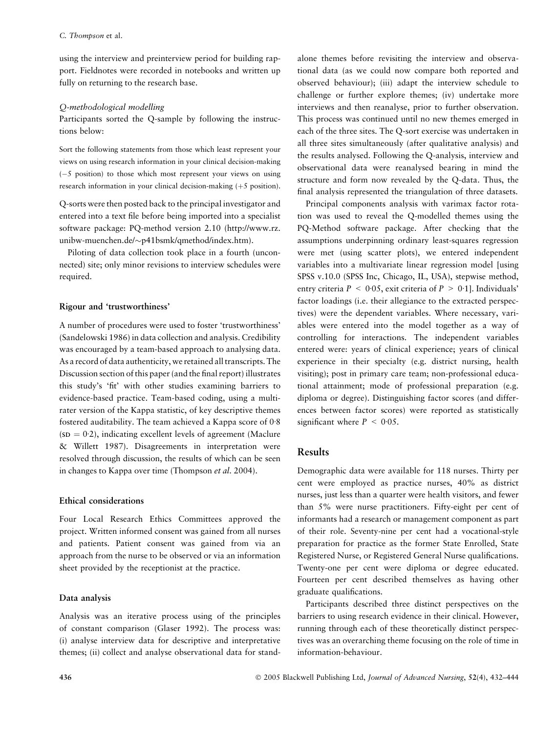using the interview and preinterview period for building rapport. Fieldnotes were recorded in notebooks and written up fully on returning to the research base.

## Q-methodological modelling

Participants sorted the Q-sample by following the instructions below:

Sort the following statements from those which least represent your views on using research information in your clinical decision-making  $(-5)$  position) to those which most represent your views on using research information in your clinical decision-making  $(+5$  position).

Q-sorts were then posted back to the principal investigator and entered into a text file before being imported into a specialist software package: PQ-method version 2.10 (http://www.rz. unibw-muenchen.de/-p41bsmk/qmethod/index.htm).

Piloting of data collection took place in a fourth (unconnected) site; only minor revisions to interview schedules were required.

## Rigour and 'trustworthiness'

A number of procedures were used to foster 'trustworthiness' (Sandelowski 1986) in data collection and analysis. Credibility was encouraged by a team-based approach to analysing data. As a record of data authenticity, we retained all transcripts. The Discussion section of this paper (and the final report) illustrates this study's 'fit' with other studies examining barriers to evidence-based practice. Team-based coding, using a multirater version of the Kappa statistic, of key descriptive themes fostered auditability. The team achieved a Kappa score of  $0.8$  $(SD = 0.2)$ , indicating excellent levels of agreement (Maclure & Willett 1987). Disagreements in interpretation were resolved through discussion, the results of which can be seen in changes to Kappa over time (Thompson et al. 2004).

## Ethical considerations

Four Local Research Ethics Committees approved the project. Written informed consent was gained from all nurses and patients. Patient consent was gained from via an approach from the nurse to be observed or via an information sheet provided by the receptionist at the practice.

## Data analysis

Analysis was an iterative process using of the principles of constant comparison (Glaser 1992). The process was: (i) analyse interview data for descriptive and interpretative themes; (ii) collect and analyse observational data for standalone themes before revisiting the interview and observational data (as we could now compare both reported and observed behaviour); (iii) adapt the interview schedule to challenge or further explore themes; (iv) undertake more interviews and then reanalyse, prior to further observation. This process was continued until no new themes emerged in each of the three sites. The Q-sort exercise was undertaken in all three sites simultaneously (after qualitative analysis) and the results analysed. Following the Q-analysis, interview and observational data were reanalysed bearing in mind the structure and form now revealed by the Q-data. Thus, the final analysis represented the triangulation of three datasets.

Principal components analysis with varimax factor rotation was used to reveal the Q-modelled themes using the PQ-Method software package. After checking that the assumptions underpinning ordinary least-squares regression were met (using scatter plots), we entered independent variables into a multivariate linear regression model [using SPSS v.10.0 (SPSS Inc, Chicago, IL, USA), stepwise method, entry criteria  $P < 0.05$ , exit criteria of  $P > 0.1$ ]. Individuals' factor loadings (i.e. their allegiance to the extracted perspectives) were the dependent variables. Where necessary, variables were entered into the model together as a way of controlling for interactions. The independent variables entered were: years of clinical experience; years of clinical experience in their specialty (e.g. district nursing, health visiting); post in primary care team; non-professional educational attainment; mode of professional preparation (e.g. diploma or degree). Distinguishing factor scores (and differences between factor scores) were reported as statistically significant where  $P < 0.05$ .

# Results

Demographic data were available for 118 nurses. Thirty per cent were employed as practice nurses, 40% as district nurses, just less than a quarter were health visitors, and fewer than 5% were nurse practitioners. Fifty-eight per cent of informants had a research or management component as part of their role. Seventy-nine per cent had a vocational-style preparation for practice as the former State Enrolled, State Registered Nurse, or Registered General Nurse qualifications. Twenty-one per cent were diploma or degree educated. Fourteen per cent described themselves as having other graduate qualifications.

Participants described three distinct perspectives on the barriers to using research evidence in their clinical. However, running through each of these theoretically distinct perspectives was an overarching theme focusing on the role of time in information-behaviour.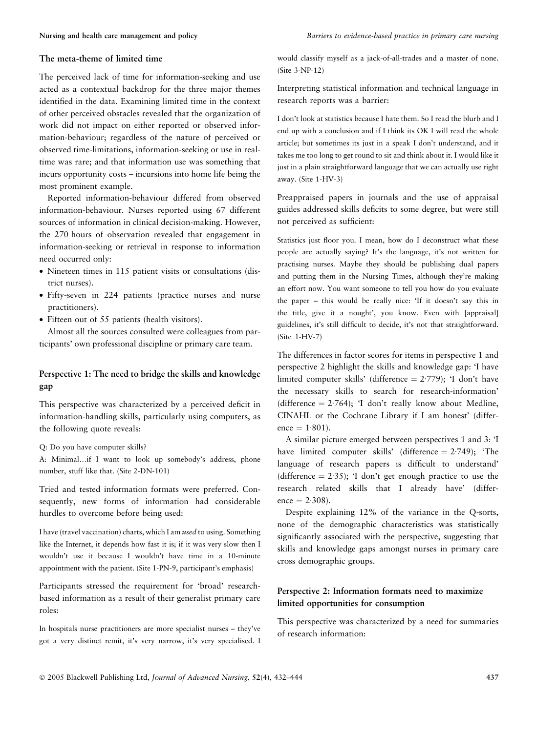#### The meta-theme of limited time

The perceived lack of time for information-seeking and use acted as a contextual backdrop for the three major themes identified in the data. Examining limited time in the context of other perceived obstacles revealed that the organization of work did not impact on either reported or observed information-behaviour; regardless of the nature of perceived or observed time-limitations, information-seeking or use in realtime was rare; and that information use was something that incurs opportunity costs – incursions into home life being the most prominent example.

Reported information-behaviour differed from observed information-behaviour. Nurses reported using 67 different sources of information in clinical decision-making. However, the 270 hours of observation revealed that engagement in information-seeking or retrieval in response to information need occurred only:

- Nineteen times in 115 patient visits or consultations (district nurses).
- Fifty-seven in 224 patients (practice nurses and nurse practitioners).
- Fifteen out of 55 patients (health visitors).

Almost all the sources consulted were colleagues from participants' own professional discipline or primary care team.

# Perspective 1: The need to bridge the skills and knowledge gap

This perspective was characterized by a perceived deficit in information-handling skills, particularly using computers, as the following quote reveals:

Q: Do you have computer skills?

A: Minimal…if I want to look up somebody's address, phone number, stuff like that. (Site 2-DN-101)

Tried and tested information formats were preferred. Consequently, new forms of information had considerable hurdles to overcome before being used:

I have (travel vaccination) charts, which I am used to using. Something like the Internet, it depends how fast it is; if it was very slow then I wouldn't use it because I wouldn't have time in a 10-minute appointment with the patient. (Site 1-PN-9, participant's emphasis)

Participants stressed the requirement for 'broad' researchbased information as a result of their generalist primary care roles:

In hospitals nurse practitioners are more specialist nurses – they've got a very distinct remit, it's very narrow, it's very specialised. I would classify myself as a jack-of-all-trades and a master of none. (Site 3-NP-12)

Interpreting statistical information and technical language in research reports was a barrier:

I don't look at statistics because I hate them. So I read the blurb and I end up with a conclusion and if I think its OK I will read the whole article; but sometimes its just in a speak I don't understand, and it takes me too long to get round to sit and think about it. I would like it just in a plain straightforward language that we can actually use right away. (Site 1-HV-3)

Preappraised papers in journals and the use of appraisal guides addressed skills deficits to some degree, but were still not perceived as sufficient:

Statistics just floor you. I mean, how do I deconstruct what these people are actually saying? It's the language, it's not written for practising nurses. Maybe they should be publishing dual papers and putting them in the Nursing Times, although they're making an effort now. You want someone to tell you how do you evaluate the paper – this would be really nice: 'If it doesn't say this in the title, give it a nought', you know. Even with [appraisal] guidelines, it's still difficult to decide, it's not that straightforward. (Site 1-HV-7)

The differences in factor scores for items in perspective 1 and perspective 2 highlight the skills and knowledge gap: 'I have limited computer skills' (difference  $= 2.779$ ); 'I don't have the necessary skills to search for research-information' (difference  $= 2.764$ ); 'I don't really know about Medline, CINAHL or the Cochrane Library if I am honest' (differ $e^{\frac{1}{801}}$ .

A similar picture emerged between perspectives 1 and 3: 'I have limited computer skills' (difference  $= 2.749$ ); 'The language of research papers is difficult to understand' (difference  $= 2.35$ ); 'I don't get enough practice to use the research related skills that I already have' (differ $e^2 = 2.308$ .

Despite explaining 12% of the variance in the Q-sorts, none of the demographic characteristics was statistically significantly associated with the perspective, suggesting that skills and knowledge gaps amongst nurses in primary care cross demographic groups.

# Perspective 2: Information formats need to maximize limited opportunities for consumption

This perspective was characterized by a need for summaries of research information: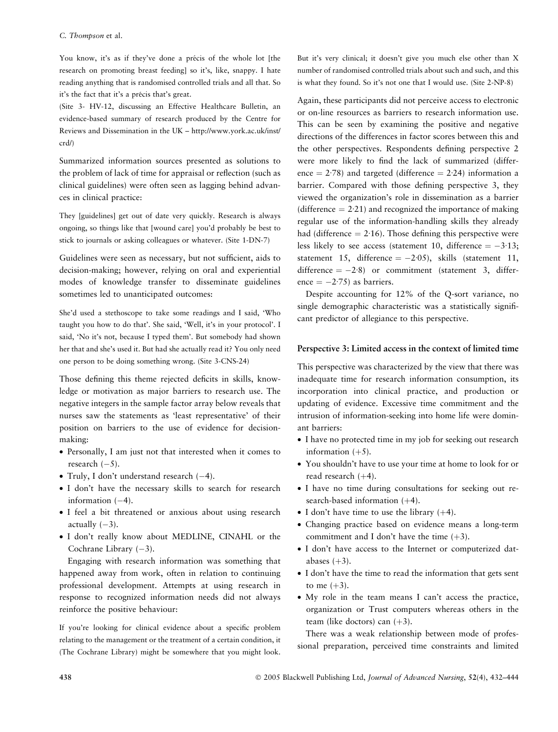#### C. Thompson et al.

You know, it's as if they've done a précis of the whole lot [the research on promoting breast feeding] so it's, like, snappy. I hate reading anything that is randomised controlled trials and all that. So it's the fact that it's a précis that's great.

(Site 3- HV-12, discussing an Effective Healthcare Bulletin, an evidence-based summary of research produced by the Centre for Reviews and Dissemination in the UK – http://www.york.ac.uk/inst/ crd/)

Summarized information sources presented as solutions to the problem of lack of time for appraisal or reflection (such as clinical guidelines) were often seen as lagging behind advances in clinical practice:

They [guidelines] get out of date very quickly. Research is always ongoing, so things like that [wound care] you'd probably be best to stick to journals or asking colleagues or whatever. (Site 1-DN-7)

Guidelines were seen as necessary, but not sufficient, aids to decision-making; however, relying on oral and experiential modes of knowledge transfer to disseminate guidelines sometimes led to unanticipated outcomes:

She'd used a stethoscope to take some readings and I said, 'Who taught you how to do that'. She said, 'Well, it's in your protocol'. I said, 'No it's not, because I typed them'. But somebody had shown her that and she's used it. But had she actually read it? You only need one person to be doing something wrong. (Site 3-CNS-24)

Those defining this theme rejected deficits in skills, knowledge or motivation as major barriers to research use. The negative integers in the sample factor array below reveals that nurses saw the statements as 'least representative' of their position on barriers to the use of evidence for decisionmaking:

- Personally, I am just not that interested when it comes to research  $(-5)$ .
- Truly, I don't understand research  $(-4)$ .
- I don't have the necessary skills to search for research information  $(-4)$ .
- I feel a bit threatened or anxious about using research actually  $(-3)$ .
- I don't really know about MEDLINE, CINAHL or the Cochrane Library  $(-3)$ .

Engaging with research information was something that happened away from work, often in relation to continuing professional development. Attempts at using research in response to recognized information needs did not always reinforce the positive behaviour:

If you're looking for clinical evidence about a specific problem relating to the management or the treatment of a certain condition, it (The Cochrane Library) might be somewhere that you might look.

But it's very clinical; it doesn't give you much else other than X number of randomised controlled trials about such and such, and this is what they found. So it's not one that I would use. (Site 2-NP-8)

Again, these participants did not perceive access to electronic or on-line resources as barriers to research information use. This can be seen by examining the positive and negative directions of the differences in factor scores between this and the other perspectives. Respondents defining perspective 2 were more likely to find the lack of summarized (difference  $= 2.78$ ) and targeted (difference  $= 2.24$ ) information a barrier. Compared with those defining perspective 3, they viewed the organization's role in dissemination as a barrier (difference  $= 2.21$ ) and recognized the importance of making regular use of the information-handling skills they already had (difference  $= 2.16$ ). Those defining this perspective were less likely to see access (statement 10, difference  $= -3.13$ ; statement 15, difference  $= -2.05$ ), skills (statement 11, difference  $= -2.8$ ) or commitment (statement 3, difference  $= -2.75$ ) as barriers.

Despite accounting for 12% of the Q-sort variance, no single demographic characteristic was a statistically significant predictor of allegiance to this perspective.

## Perspective 3: Limited access in the context of limited time

This perspective was characterized by the view that there was inadequate time for research information consumption, its incorporation into clinical practice, and production or updating of evidence. Excessive time commitment and the intrusion of information-seeking into home life were dominant barriers:

- I have no protected time in my job for seeking out research information  $(+5)$ .
- You shouldn't have to use your time at home to look for or read research  $(+4)$ .
- I have no time during consultations for seeking out research-based information  $(+4)$ .
- I don't have time to use the library  $(+4)$ .
- Changing practice based on evidence means a long-term commitment and I don't have the time  $(+3)$ .
- I don't have access to the Internet or computerized databases  $(+3)$ .
- I don't have the time to read the information that gets sent to me  $(+3)$ .
- My role in the team means I can't access the practice, organization or Trust computers whereas others in the team (like doctors) can  $(+3)$ .

There was a weak relationship between mode of professional preparation, perceived time constraints and limited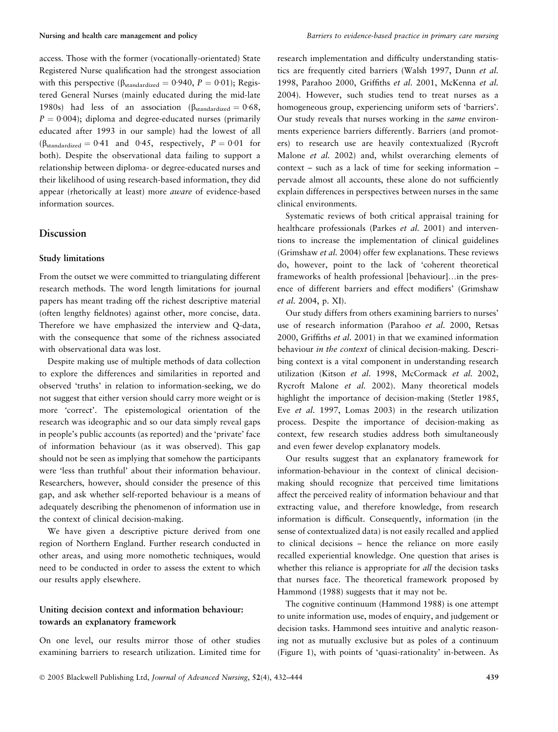access. Those with the former (vocationally-orientated) State Registered Nurse qualification had the strongest association with this perspective ( $\beta_{standardized} = 0.940$ ,  $P = 0.01$ ); Registered General Nurses (mainly educated during the mid-late 1980s) had less of an association ( $\beta_{standard} = 0.68$ ,  $P = 0.004$ ; diploma and degree-educated nurses (primarily educated after 1993 in our sample) had the lowest of all  $(\beta_{standardized} = 0.41 \text{ and } 0.45, \text{ respectively, } P = 0.01 \text{ for}$ both). Despite the observational data failing to support a relationship between diploma- or degree-educated nurses and their likelihood of using research-based information, they did appear (rhetorically at least) more aware of evidence-based information sources.

# Discussion

#### Study limitations

From the outset we were committed to triangulating different research methods. The word length limitations for journal papers has meant trading off the richest descriptive material (often lengthy fieldnotes) against other, more concise, data. Therefore we have emphasized the interview and Q-data, with the consequence that some of the richness associated with observational data was lost.

Despite making use of multiple methods of data collection to explore the differences and similarities in reported and observed 'truths' in relation to information-seeking, we do not suggest that either version should carry more weight or is more 'correct'. The epistemological orientation of the research was ideographic and so our data simply reveal gaps in people's public accounts (as reported) and the 'private' face of information behaviour (as it was observed). This gap should not be seen as implying that somehow the participants were 'less than truthful' about their information behaviour. Researchers, however, should consider the presence of this gap, and ask whether self-reported behaviour is a means of adequately describing the phenomenon of information use in the context of clinical decision-making.

We have given a descriptive picture derived from one region of Northern England. Further research conducted in other areas, and using more nomothetic techniques, would need to be conducted in order to assess the extent to which our results apply elsewhere.

# Uniting decision context and information behaviour: towards an explanatory framework

On one level, our results mirror those of other studies examining barriers to research utilization. Limited time for research implementation and difficulty understanding statistics are frequently cited barriers (Walsh 1997, Dunn et al. 1998, Parahoo 2000, Griffiths et al. 2001, McKenna et al. 2004). However, such studies tend to treat nurses as a homogeneous group, experiencing uniform sets of 'barriers'. Our study reveals that nurses working in the same environments experience barriers differently. Barriers (and promoters) to research use are heavily contextualized (Rycroft Malone et al. 2002) and, whilst overarching elements of context – such as a lack of time for seeking information – pervade almost all accounts, these alone do not sufficiently explain differences in perspectives between nurses in the same clinical environments.

Systematic reviews of both critical appraisal training for healthcare professionals (Parkes et al. 2001) and interventions to increase the implementation of clinical guidelines (Grimshaw et al. 2004) offer few explanations. These reviews do, however, point to the lack of 'coherent theoretical frameworks of health professional [behaviour]…in the presence of different barriers and effect modifiers' (Grimshaw et al. 2004, p. XI).

Our study differs from others examining barriers to nurses' use of research information (Parahoo et al. 2000, Retsas 2000, Griffiths et al. 2001) in that we examined information behaviour in the context of clinical decision-making. Describing context is a vital component in understanding research utilization (Kitson et al. 1998, McCormack et al. 2002, Rycroft Malone et al. 2002). Many theoretical models highlight the importance of decision-making (Stetler 1985, Eve et al. 1997, Lomas 2003) in the research utilization process. Despite the importance of decision-making as context, few research studies address both simultaneously and even fewer develop explanatory models.

Our results suggest that an explanatory framework for information-behaviour in the context of clinical decisionmaking should recognize that perceived time limitations affect the perceived reality of information behaviour and that extracting value, and therefore knowledge, from research information is difficult. Consequently, information (in the sense of contextualized data) is not easily recalled and applied to clinical decisions – hence the reliance on more easily recalled experiential knowledge. One question that arises is whether this reliance is appropriate for all the decision tasks that nurses face. The theoretical framework proposed by Hammond (1988) suggests that it may not be.

The cognitive continuum (Hammond 1988) is one attempt to unite information use, modes of enquiry, and judgement or decision tasks. Hammond sees intuitive and analytic reasoning not as mutually exclusive but as poles of a continuum (Figure 1), with points of 'quasi-rationality' in-between. As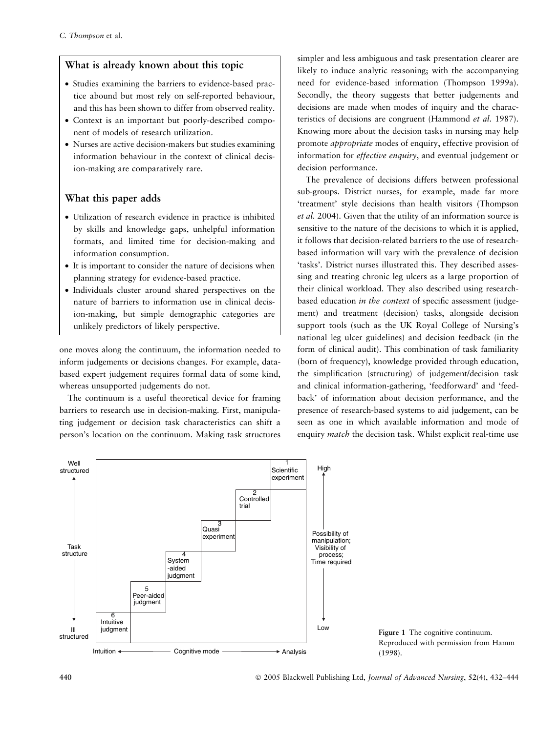# What is already known about this topic

- Studies examining the barriers to evidence-based practice abound but most rely on self-reported behaviour, and this has been shown to differ from observed reality.
- Context is an important but poorly-described component of models of research utilization.
- Nurses are active decision-makers but studies examining information behaviour in the context of clinical decision-making are comparatively rare.

# What this paper adds

- Utilization of research evidence in practice is inhibited by skills and knowledge gaps, unhelpful information formats, and limited time for decision-making and information consumption.
- It is important to consider the nature of decisions when planning strategy for evidence-based practice.
- Individuals cluster around shared perspectives on the nature of barriers to information use in clinical decision-making, but simple demographic categories are unlikely predictors of likely perspective.

one moves along the continuum, the information needed to inform judgements or decisions changes. For example, databased expert judgement requires formal data of some kind, whereas unsupported judgements do not.

The continuum is a useful theoretical device for framing barriers to research use in decision-making. First, manipulating judgement or decision task characteristics can shift a person's location on the continuum. Making task structures simpler and less ambiguous and task presentation clearer are likely to induce analytic reasoning; with the accompanying need for evidence-based information (Thompson 1999a). Secondly, the theory suggests that better judgements and decisions are made when modes of inquiry and the characteristics of decisions are congruent (Hammond et al. 1987). Knowing more about the decision tasks in nursing may help promote appropriate modes of enquiry, effective provision of information for effective enquiry, and eventual judgement or decision performance.

The prevalence of decisions differs between professional sub-groups. District nurses, for example, made far more 'treatment' style decisions than health visitors (Thompson et al. 2004). Given that the utility of an information source is sensitive to the nature of the decisions to which it is applied, it follows that decision-related barriers to the use of researchbased information will vary with the prevalence of decision 'tasks'. District nurses illustrated this. They described assessing and treating chronic leg ulcers as a large proportion of their clinical workload. They also described using researchbased education in the context of specific assessment (judgement) and treatment (decision) tasks, alongside decision support tools (such as the UK Royal College of Nursing's national leg ulcer guidelines) and decision feedback (in the form of clinical audit). This combination of task familiarity (born of frequency), knowledge provided through education, the simplification (structuring) of judgement/decision task and clinical information-gathering, 'feedforward' and 'feedback' of information about decision performance, and the presence of research-based systems to aid judgement, can be seen as one in which available information and mode of enquiry match the decision task. Whilst explicit real-time use



Low Figure 1 The cognitive continuum. Reproduced with permission from Hamm (1998).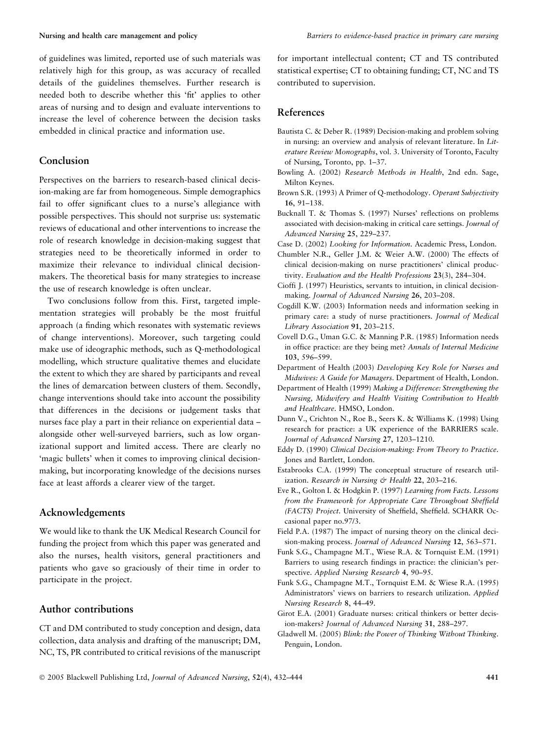of guidelines was limited, reported use of such materials was relatively high for this group, as was accuracy of recalled details of the guidelines themselves. Further research is needed both to describe whether this 'fit' applies to other areas of nursing and to design and evaluate interventions to increase the level of coherence between the decision tasks embedded in clinical practice and information use.

## Conclusion

Perspectives on the barriers to research-based clinical decision-making are far from homogeneous. Simple demographics fail to offer significant clues to a nurse's allegiance with possible perspectives. This should not surprise us: systematic reviews of educational and other interventions to increase the role of research knowledge in decision-making suggest that strategies need to be theoretically informed in order to maximize their relevance to individual clinical decisionmakers. The theoretical basis for many strategies to increase the use of research knowledge is often unclear.

Two conclusions follow from this. First, targeted implementation strategies will probably be the most fruitful approach (a finding which resonates with systematic reviews of change interventions). Moreover, such targeting could make use of ideographic methods, such as Q-methodological modelling, which structure qualitative themes and elucidate the extent to which they are shared by participants and reveal the lines of demarcation between clusters of them. Secondly, change interventions should take into account the possibility that differences in the decisions or judgement tasks that nurses face play a part in their reliance on experiential data – alongside other well-surveyed barriers, such as low organizational support and limited access. There are clearly no 'magic bullets' when it comes to improving clinical decisionmaking, but incorporating knowledge of the decisions nurses face at least affords a clearer view of the target.

# Acknowledgements

We would like to thank the UK Medical Research Council for funding the project from which this paper was generated and also the nurses, health visitors, general practitioners and patients who gave so graciously of their time in order to participate in the project.

# Author contributions

CT and DM contributed to study conception and design, data collection, data analysis and drafting of the manuscript; DM, NC, TS, PR contributed to critical revisions of the manuscript for important intellectual content; CT and TS contributed statistical expertise; CT to obtaining funding; CT, NC and TS contributed to supervision.

# References

- Bautista C. & Deber R. (1989) Decision-making and problem solving in nursing: an overview and analysis of relevant literature. In Literature Review Monographs, vol. 3. University of Toronto, Faculty of Nursing, Toronto, pp. 1–37.
- Bowling A. (2002) Research Methods in Health, 2nd edn. Sage, Milton Keynes.
- Brown S.R. (1993) A Primer of Q-methodology. Operant Subjectivity 16, 91–138.
- Bucknall T. & Thomas S. (1997) Nurses' reflections on problems associated with decision-making in critical care settings. Journal of Advanced Nursing 25, 229–237.

Case D. (2002) Looking for Information. Academic Press, London.

- Chumbler N.R., Geller J.M. & Weier A.W. (2000) The effects of clinical decision-making on nurse practitioners' clinical productivity. Evaluation and the Health Professions 23(3), 284–304.
- Cioffi J. (1997) Heuristics, servants to intuition, in clinical decisionmaking. Journal of Advanced Nursing 26, 203–208.
- Cogdill K.W. (2003) Information needs and information seeking in primary care: a study of nurse practitioners. Journal of Medical Library Association 91, 203–215.
- Covell D.G., Uman G.C. & Manning P.R. (1985) Information needs in office practice: are they being met? Annals of Internal Medicine 103, 596–599.
- Department of Health (2003) Developing Key Role for Nurses and Midwives: A Guide for Managers. Department of Health, London.
- Department of Health (1999) Making a Difference: Strengthening the Nursing, Midwifery and Health Visiting Contribution to Health and Healthcare. HMSO, London.
- Dunn V., Crichton N., Roe B., Seers K. & Williams K. (1998) Using research for practice: a UK experience of the BARRIERS scale. Journal of Advanced Nursing 27, 1203–1210.
- Eddy D. (1990) Clinical Decision-making: From Theory to Practice. Jones and Bartlett, London.
- Estabrooks C.A. (1999) The conceptual structure of research utilization. Research in Nursing & Health 22, 203-216.
- Eve R., Golton I. & Hodgkin P. (1997) Learning from Facts. Lessons from the Framework for Appropriate Care Throughout Sheffield (FACTS) Project. University of Sheffield, Sheffield. SCHARR Occasional paper no.97/3.
- Field P.A. (1987) The impact of nursing theory on the clinical decision-making process. Journal of Advanced Nursing 12, 563–571.
- Funk S.G., Champagne M.T., Wiese R.A. & Tornquist E.M. (1991) Barriers to using research findings in practice: the clinician's perspective. Applied Nursing Research 4, 90–95.
- Funk S.G., Champagne M.T., Tornquist E.M. & Wiese R.A. (1995) Administrators' views on barriers to research utilization. Applied Nursing Research 8, 44–49.
- Girot E.A. (2001) Graduate nurses: critical thinkers or better decision-makers? Journal of Advanced Nursing 31, 288–297.
- Gladwell M. (2005) Blink: the Power of Thinking Without Thinking. Penguin, London.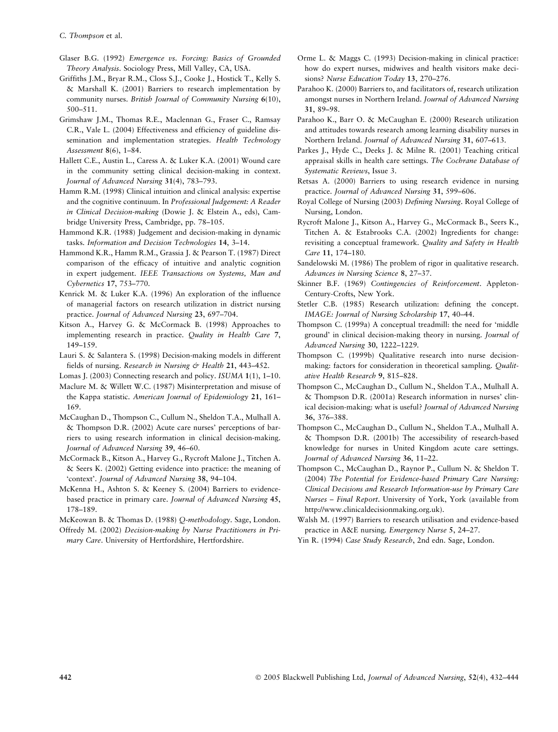- Glaser B.G. (1992) Emergence vs. Forcing: Basics of Grounded Theory Analysis. Sociology Press, Mill Valley, CA, USA.
- Griffiths J.M., Bryar R.M., Closs S.J., Cooke J., Hostick T., Kelly S. & Marshall K. (2001) Barriers to research implementation by community nurses. British Journal of Community Nursing 6(10), 500–511.
- Grimshaw J.M., Thomas R.E., Maclennan G., Fraser C., Ramsay C.R., Vale L. (2004) Effectiveness and efficiency of guideline dissemination and implementation strategies. Health Technology Assessment 8(6), 1–84.
- Hallett C.E., Austin L., Caress A. & Luker K.A. (2001) Wound care in the community setting clinical decision-making in context. Journal of Advanced Nursing 31(4), 783–793.
- Hamm R.M. (1998) Clinical intuition and clinical analysis: expertise and the cognitive continuum. In Professional Judgement: A Reader in Clinical Decision-making (Dowie J. & Elstein A., eds), Cambridge University Press, Cambridge, pp. 78–105.
- Hammond K.R. (1988) Judgement and decision-making in dynamic tasks. Information and Decision Technologies 14, 3–14.
- Hammond K.R., Hamm R.M., Grassia J. & Pearson T. (1987) Direct comparison of the efficacy of intuitive and analytic cognition in expert judgement. IEEE Transactions on Systems, Man and Cybernetics 17, 753–770.
- Kenrick M. & Luker K.A. (1996) An exploration of the influence of managerial factors on research utilization in district nursing practice. Journal of Advanced Nursing 23, 697–704.
- Kitson A., Harvey G. & McCormack B. (1998) Approaches to implementing research in practice. Quality in Health Care 7, 149–159.
- Lauri S. & Salantera S. (1998) Decision-making models in different fields of nursing. Research in Nursing & Health 21, 443–452.

Lomas J. (2003) Connecting research and policy. ISUMA 1(1), 1–10.

- Maclure M. & Willett W.C. (1987) Misinterpretation and misuse of the Kappa statistic. American Journal of Epidemiology 21, 161– 169.
- McCaughan D., Thompson C., Cullum N., Sheldon T.A., Mulhall A. & Thompson D.R. (2002) Acute care nurses' perceptions of barriers to using research information in clinical decision-making. Journal of Advanced Nursing 39, 46–60.
- McCormack B., Kitson A., Harvey G., Rycroft Malone J., Titchen A. & Seers K. (2002) Getting evidence into practice: the meaning of 'context'. Journal of Advanced Nursing 38, 94–104.
- McKenna H., Ashton S. & Keeney S. (2004) Barriers to evidencebased practice in primary care. Journal of Advanced Nursing 45, 178–189.

McKeowan B. & Thomas D. (1988) Q-methodology. Sage, London.

Offredy M. (2002) Decision-making by Nurse Practitioners in Primary Care. University of Hertfordshire, Hertfordshire.

- Orme L. & Maggs C. (1993) Decision-making in clinical practice: how do expert nurses, midwives and health visitors make decisions? Nurse Education Today 13, 270–276.
- Parahoo K. (2000) Barriers to, and facilitators of, research utilization amongst nurses in Northern Ireland. Journal of Advanced Nursing 31, 89–98.
- Parahoo K., Barr O. & McCaughan E. (2000) Research utilization and attitudes towards research among learning disability nurses in Northern Ireland. Journal of Advanced Nursing 31, 607–613.
- Parkes J., Hyde C., Deeks J. & Milne R. (2001) Teaching critical appraisal skills in health care settings. The Cochrane Database of Systematic Reviews, Issue 3.
- Retsas A. (2000) Barriers to using research evidence in nursing practice. Journal of Advanced Nursing 31, 599–606.
- Royal College of Nursing (2003) Defining Nursing. Royal College of Nursing, London.
- Rycroft Malone J., Kitson A., Harvey G., McCormack B., Seers K., Titchen A. & Estabrooks C.A. (2002) Ingredients for change: revisiting a conceptual framework. Quality and Safety in Health Care 11, 174–180.
- Sandelowski M. (1986) The problem of rigor in qualitative research. Advances in Nursing Science 8, 27–37.
- Skinner B.F. (1969) Contingencies of Reinforcement. Appleton-Century-Crofts, New York.
- Stetler C.B. (1985) Research utilization: defining the concept. IMAGE: Journal of Nursing Scholarship 17, 40–44.
- Thompson C. (1999a) A conceptual treadmill: the need for 'middle ground' in clinical decision-making theory in nursing. Journal of Advanced Nursing 30, 1222–1229.
- Thompson C. (1999b) Qualitative research into nurse decisionmaking: factors for consideration in theoretical sampling. Qualitative Health Research 9, 815–828.
- Thompson C., McCaughan D., Cullum N., Sheldon T.A., Mulhall A. & Thompson D.R. (2001a) Research information in nurses' clinical decision-making: what is useful? Journal of Advanced Nursing 36, 376–388.
- Thompson C., McCaughan D., Cullum N., Sheldon T.A., Mulhall A. & Thompson D.R. (2001b) The accessibility of research-based knowledge for nurses in United Kingdom acute care settings. Journal of Advanced Nursing 36, 11–22.
- Thompson C., McCaughan D., Raynor P., Cullum N. & Sheldon T. (2004) The Potential for Evidence-based Primary Care Nursing: Clinical Decisions and Research Information-use by Primary Care Nurses – Final Report. University of York, York (available from http://www.clinicaldecisionmaking.org.uk).
- Walsh M. (1997) Barriers to research utilisation and evidence-based practice in A&E nursing. Emergency Nurse 5, 24–27.
- Yin R. (1994) Case Study Research, 2nd edn. Sage, London.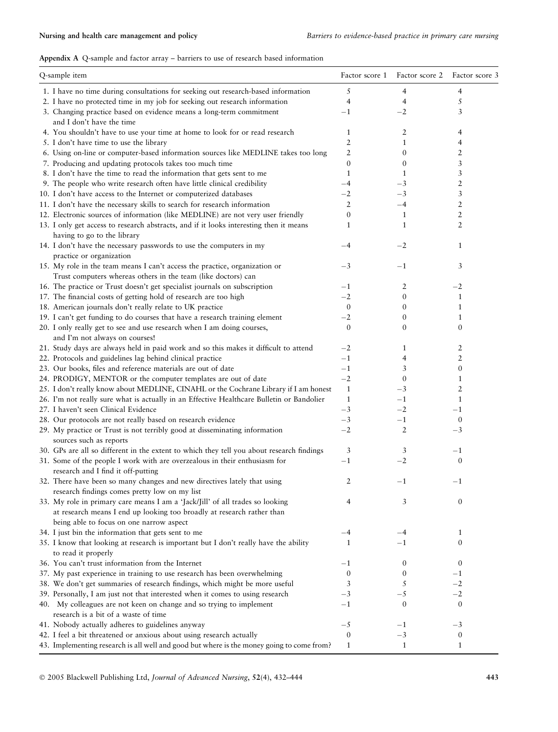# Appendix A Q-sample and factor array – barriers to use of research based information

| Q-sample item                                                                             | Factor score 1   | Factor score 2 Factor score 3 |                  |
|-------------------------------------------------------------------------------------------|------------------|-------------------------------|------------------|
| 1. I have no time during consultations for seeking out research-based information         | 5                | 4                             | 4                |
| 2. I have no protected time in my job for seeking out research information                | $\overline{4}$   | 4                             | 5                |
| 3. Changing practice based on evidence means a long-term commitment                       | $-1$             | $-2$                          | 3                |
| and I don't have the time                                                                 |                  |                               |                  |
| 4. You shouldn't have to use your time at home to look for or read research               | 1                | 2                             | 4                |
| 5. I don't have time to use the library                                                   | $\overline{2}$   | $\mathbf{1}$                  | 4                |
| 6. Using on-line or computer-based information sources like MEDLINE takes too long        | 2                | $\mathbf{0}$                  | 2                |
| 7. Producing and updating protocols takes too much time                                   | $\boldsymbol{0}$ | $\mathbf{0}$                  | 3                |
| 8. I don't have the time to read the information that gets sent to me                     | $\mathbf{1}$     | 1                             | 3                |
| 9. The people who write research often have little clinical credibility                   | $-4$             | $^{-3}$                       | 2                |
| 10. I don't have access to the Internet or computerized databases                         | $-2$             | $^{-3}$                       | 3                |
| 11. I don't have the necessary skills to search for research information                  | $\overline{2}$   | $-4$                          | 2                |
| 12. Electronic sources of information (like MEDLINE) are not very user friendly           | $\boldsymbol{0}$ | $\mathbf{1}$                  | 2                |
| 13. I only get access to research abstracts, and if it looks interesting then it means    | 1                | $\mathbf{1}$                  | 2                |
| having to go to the library                                                               |                  |                               |                  |
| 14. I don't have the necessary passwords to use the computers in my                       | $-4$             | $-2$                          | $\mathbf{1}$     |
| practice or organization                                                                  |                  |                               |                  |
| 15. My role in the team means I can't access the practice, organization or                | $-3$             | $^{-1}$                       | 3                |
|                                                                                           |                  |                               |                  |
| Trust computers whereas others in the team (like doctors) can                             |                  |                               |                  |
| 16. The practice or Trust doesn't get specialist journals on subscription                 | $-1$             | 2                             | $-2$             |
| 17. The financial costs of getting hold of research are too high                          | $-2$             | $\boldsymbol{0}$              | $\mathbf{1}$     |
| 18. American journals don't really relate to UK practice                                  | $\mathbf{0}$     | 0                             | 1                |
| 19. I can't get funding to do courses that have a research training element               | $-2$             | 0                             | 1                |
| 20. I only really get to see and use research when I am doing courses,                    | $\mathbf{0}$     | $\mathbf{0}$                  | $\mathbf{0}$     |
| and I'm not always on courses!                                                            |                  |                               |                  |
| 21. Study days are always held in paid work and so this makes it difficult to attend      | $-2$             | $\mathbf{1}$                  | 2                |
| 22. Protocols and guidelines lag behind clinical practice                                 | $-1$             | 4                             | 2                |
| 23. Our books, files and reference materials are out of date                              | $-1$             | 3                             | 0                |
| 24. PRODIGY, MENTOR or the computer templates are out of date                             | $-2$             | $\mathbf{0}$                  | 1                |
| 25. I don't really know about MEDLINE, CINAHL or the Cochrane Library if I am honest      | $\mathbf{1}$     | $-3$                          | 2                |
| 26. I'm not really sure what is actually in an Effective Healthcare Bulletin or Bandolier | $\mathbf{1}$     | $-1$                          | 1                |
| 27. I haven't seen Clinical Evidence                                                      | $-3$             | $-2$                          | $^{-1}$          |
| 28. Our protocols are not really based on research evidence                               | $-3$             | $-1$                          | $\boldsymbol{0}$ |
| 29. My practice or Trust is not terribly good at disseminating information                | $-2$             | $\overline{2}$                | $-3$             |
| sources such as reports                                                                   |                  |                               |                  |
| 30. GPs are all so different in the extent to which they tell you about research findings | 3                | 3                             | $^{-1}$          |
| 31. Some of the people I work with are overzealous in their enthusiasm for                | $^{-1}$          | $-2$                          | $\boldsymbol{0}$ |
| research and I find it off-putting                                                        |                  |                               |                  |
| 32. There have been so many changes and new directives lately that using                  | 2                | $-1$                          | $^{-1}$          |
| research findings comes pretty low on my list                                             |                  |                               |                  |
| 33. My role in primary care means I am a 'Jack/Jill' of all trades so looking             | 4                | 3                             | $\boldsymbol{0}$ |
| at research means I end up looking too broadly at research rather than                    |                  |                               |                  |
| being able to focus on one narrow aspect                                                  |                  |                               |                  |
| 34. I just bin the information that gets sent to me                                       | $-4$             | -4                            | $\mathbf{1}$     |
| 35. I know that looking at research is important but I don't really have the ability      | 1                | $^{-1}$                       | $\mathbf{0}$     |
| to read it properly                                                                       |                  |                               |                  |
| 36. You can't trust information from the Internet                                         |                  | 0                             | $\boldsymbol{0}$ |
|                                                                                           | $^{-1}$          |                               |                  |
| 37. My past experience in training to use research has been overwhelming                  | $\mathbf{0}$     | $\mathbf{0}$                  | $^{-1}$<br>$-2$  |
| 38. We don't get summaries of research findings, which might be more useful               | 3                | 5                             |                  |
| 39. Personally, I am just not that interested when it comes to using research             | $^{-3}$          | $-5$                          | $-2$             |
| 40. My colleagues are not keen on change and so trying to implement                       | $^{-1}$          | $\boldsymbol{0}$              | $\boldsymbol{0}$ |
| research is a bit of a waste of time                                                      |                  |                               |                  |
| 41. Nobody actually adheres to guidelines anyway                                          | $-5$             | $-1$                          | $^{-3}$          |
| 42. I feel a bit threatened or anxious about using research actually                      | $\boldsymbol{0}$ | $-3$                          | $\boldsymbol{0}$ |
| 43. Implementing research is all well and good but where is the money going to come from? | $\mathbf{1}$     | $\mathbf{1}$                  | 1                |